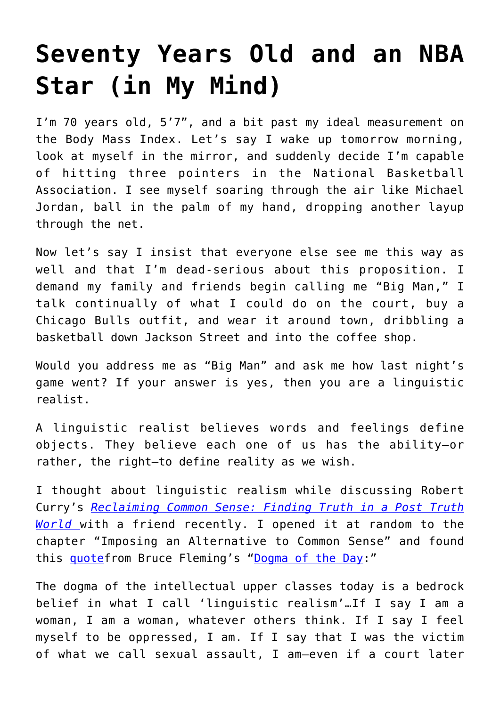## **[Seventy Years Old and an NBA](https://intellectualtakeout.org/2021/07/seventy-years-old-and-an-nba-star-in-my-mind/) [Star \(in My Mind\)](https://intellectualtakeout.org/2021/07/seventy-years-old-and-an-nba-star-in-my-mind/)**

I'm 70 years old, 5'7", and a bit past my ideal measurement on the Body Mass Index. Let's say I wake up tomorrow morning, look at myself in the mirror, and suddenly decide I'm capable of hitting three pointers in the National Basketball Association. I see myself soaring through the air like Michael Jordan, ball in the palm of my hand, dropping another layup through the net.

Now let's say I insist that everyone else see me this way as well and that I'm dead-serious about this proposition. I demand my family and friends begin calling me "Big Man," I talk continually of what I could do on the court, buy a Chicago Bulls outfit, and wear it around town, dribbling a basketball down Jackson Street and into the coffee shop.

Would you address me as "Big Man" and ask me how last night's game went? If your answer is yes, then you are a linguistic realist.

A linguistic realist believes words and feelings define objects. They believe each one of us has the ability—or rather, the right—to define reality as we wish.

I thought about linguistic realism while discussing Robert Curry's *[Reclaiming Common Sense: Finding Truth in a Post Truth](https://www.amazon.com/gp/product/B07N8GF8Q5/ref=as_li_qf_asin_il_tl?ie=UTF8&tag=intelltakeo0d-20&creative=9325&linkCode=as2&creativeASIN=B07N8GF8Q5&linkId=2666ecf1002d448536b59f8e8856e32b) [World](https://www.amazon.com/gp/product/B07N8GF8Q5/ref=as_li_qf_asin_il_tl?ie=UTF8&tag=intelltakeo0d-20&creative=9325&linkCode=as2&creativeASIN=B07N8GF8Q5&linkId=2666ecf1002d448536b59f8e8856e32b)* with a friend recently. I opened it at random to the chapter "Imposing an Alternative to Common Sense" and found this [quotef](https://www.themontrealreview.com/2009/Linguistic-Realism.php)rom Bruce Fleming's "[Dogma of the Day:](https://www.themontrealreview.com/2009/Linguistic-Realism.php)"

The dogma of the intellectual upper classes today is a bedrock belief in what I call 'linguistic realism'…If I say I am a woman, I am a woman, whatever others think. If I say I feel myself to be oppressed, I am. If I say that I was the victim of what we call sexual assault, I am—even if a court later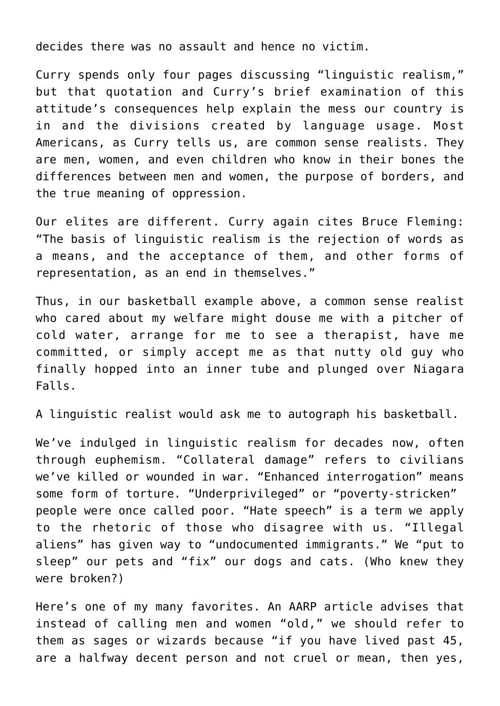decides there was no assault and hence no victim.

Curry spends only four pages discussing "linguistic realism," but that quotation and Curry's brief examination of this attitude's consequences help explain the mess our country is in and the divisions created by language usage. Most Americans, as Curry tells us, are common sense realists. They are men, women, and even children who know in their bones the differences between men and women, the purpose of borders, and the true meaning of oppression.

Our elites are different. Curry again cites Bruce Fleming: "The basis of linguistic realism is the rejection of words as a means, and the acceptance of them, and other forms of representation, as an end in themselves."

Thus, in our basketball example above, a common sense realist who cared about my welfare might douse me with a pitcher of cold water, arrange for me to see a therapist, have me committed, or simply accept me as that nutty old guy who finally hopped into an inner tube and plunged over Niagara Falls.

A linguistic realist would ask me to autograph his basketball.

We've indulged in linguistic realism for decades now, often through euphemism. "Collateral damage" refers to civilians we've killed or wounded in war. "Enhanced interrogation" means some form of torture. "Underprivileged" or "poverty-stricken" people were once called poor. "Hate speech" is a term we apply to the rhetoric of those who disagree with us. "Illegal aliens" has given way to "undocumented immigrants." We "put to sleep" our pets and "fix" our dogs and cats. (Who knew they were broken?)

Here's one of my many favorites. An AARP article advises that instead of calling men and women "old," we should refer to them as sages or wizards because "if you have lived past 45, are a halfway decent person and not cruel or mean, then yes,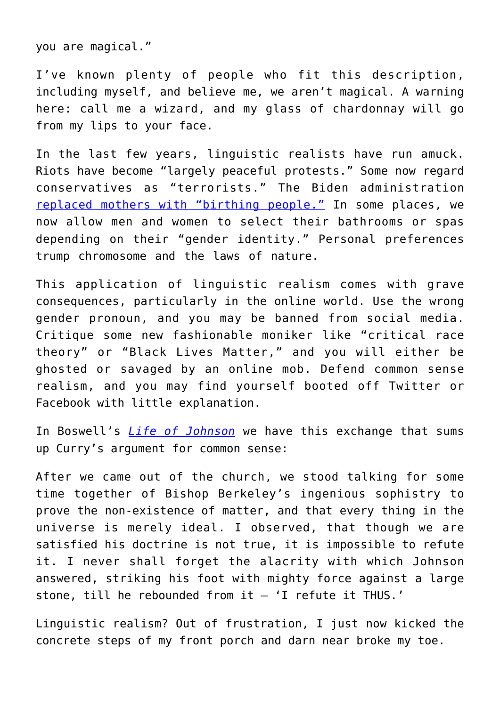you are magical."

I've known plenty of people who fit this description, including myself, and believe me, we aren't magical. A warning here: call me a wizard, and my glass of chardonnay will go from my lips to your face.

In the last few years, linguistic realists have run amuck. Riots have become "largely peaceful protests." Some now regard conservatives as "terrorists." The Biden administration [replaced mothers with "birthing people."](https://www.newsweek.com/biden-admin-replaces-mothers-birthing-people-maternal-health-guidance-1598343) In some places, we now allow men and women to select their bathrooms or spas depending on their "gender identity." Personal preferences trump chromosome and the laws of nature.

This application of linguistic realism comes with grave consequences, particularly in the online world. Use the wrong gender pronoun, and you may be banned from social media. Critique some new fashionable moniker like "critical race theory" or "Black Lives Matter," and you will either be ghosted or savaged by an online mob. Defend common sense realism, and you may find yourself booted off Twitter or Facebook with little explanation.

In Boswell's *[Life of Johnson](https://www.gutenberg.org/files/1564/1564-h/1564-h.htm)* we have this exchange that sums up Curry's argument for common sense:

After we came out of the church, we stood talking for some time together of Bishop Berkeley's ingenious sophistry to prove the non-existence of matter, and that every thing in the universe is merely ideal. I observed, that though we are satisfied his doctrine is not true, it is impossible to refute it. I never shall forget the alacrity with which Johnson answered, striking his foot with mighty force against a large stone, till he rebounded from it – 'I refute it THUS.'

Linguistic realism? Out of frustration, I just now kicked the concrete steps of my front porch and darn near broke my toe.